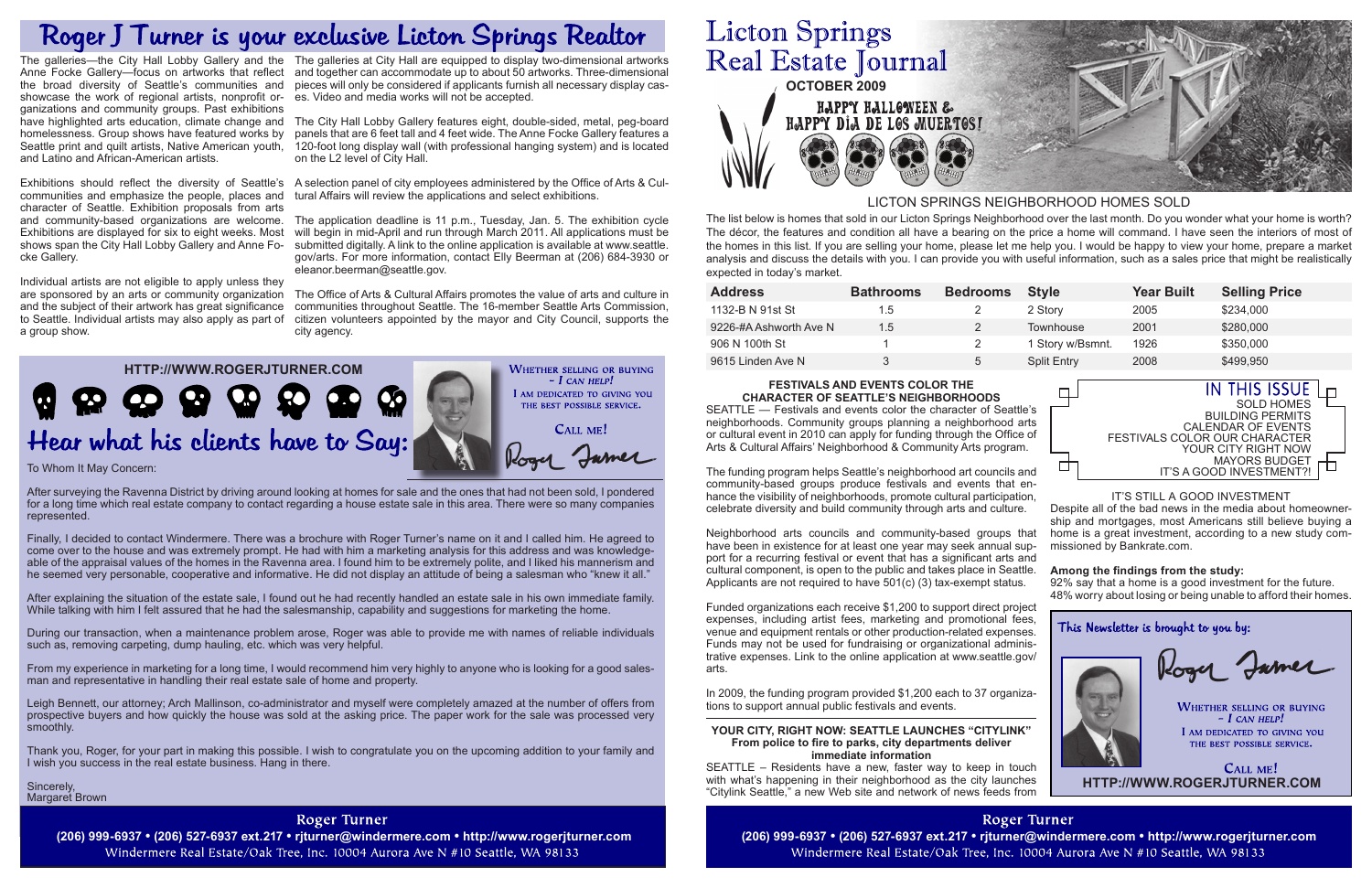| <b>Address</b>         | <b>Bathrooms</b> | <b>Bedrooms</b> | <b>Style</b>       | <b>Year Built</b> | <b>Selling Price</b> |
|------------------------|------------------|-----------------|--------------------|-------------------|----------------------|
| 1132-B N 91st St       | 1.5              | 2               | 2 Story            | 2005              | \$234,000            |
| 9226-#A Ashworth Ave N | 1.5              |                 | Townhouse          | 2001              | \$280,000            |
| 906 N 100th St         |                  |                 | 1 Story w/Bsmnt.   | 1926              | \$350,000            |
| 9615 Linden Ave N      | 3                | 5               | <b>Split Entry</b> | 2008              | \$499,950            |
|                        |                  |                 |                    |                   |                      |

After surveying the Ravenna District by driving around looking at homes for sale and the ones that had not been sold, I pondered for a long time which real estate company to contact regarding a house estate sale in this area. There were so many companies represented.

After explaining the situation of the estate sale, I found out he had recently handled an estate sale in his own immediate family. While talking with him I felt assured that he had the salesmanship, capability and suggestions for marketing the home.

Finally, I decided to contact Windermere. There was a brochure with Roger Turner's name on it and I called him. He agreed to come over to the house and was extremely prompt. He had with him a marketing analysis for this address and was knowledgeable of the appraisal values of the homes in the Ravenna area. I found him to be extremely polite, and I liked his mannerism and he seemed very personable, cooperative and informative. He did not display an attitude of being a salesman who "knew it all."

> CALL ME! **HTTP://WWW.ROGERJTURNER.COM**

During our transaction, when a maintenance problem arose, Roger was able to provide me with names of reliable individuals such as, removing carpeting, dump hauling, etc. which was very helpful.

**(206) 999-6937 • (206) 527-6937 ext.217 • rjturner@windermere.com • http://www.rogerjturner.com (206) 999-6937 • (206) 527-6937 ext.217 • rjturner@windermere.com • http://www.rogerjturner.com** Windermere Real Estate/Oak Tree, Inc. 10004 Aurora Ave N #10 Seattle, WA 98133

# **Licton Springs** Real Estate Journal **OCTOBER 2009** HAPPY HALLOWEEN & HAPPY DIA DE LOS MUERTOS!



From my experience in marketing for a long time, I would recommend him very highly to anyone who is looking for a good salesman and representative in handling their real estate sale of home and property.

Leigh Bennett, our attorney; Arch Mallinson, co-administrator and myself were completely amazed at the number of offers from prospective buyers and how quickly the house was sold at the asking price. The paper work for the sale was processed very smoothly.

Thank you, Roger, for your part in making this possible. I wish to congratulate you on the upcoming addition to your family and I wish you success in the real estate business. Hang in there.

Sincerely, Margaret Brown

### **Roger Turner**

The list below is homes that sold in our Licton Springs Neighborhood over the last month. Do you wonder what your home is worth? The décor, the features and condition all have a bearing on the price a home will command. I have seen the interiors of most of the homes in this list. If you are selling your home, please let me help you. I would be happy to view your home, prepare a market analysis and discuss the details with you. I can provide you with useful information, such as a sales price that might be realistically expected in today's market.

### LICTON SPRINGS NEIGHBORHOOD HOMES SOLD

□

叮



#### IT'S STILL A GOOD INVESTMENT

Despite all of the bad news in the media about homeownership and mortgages, most Americans still believe buying a home is a great investment, according to a new study commissioned by Bankrate.com.

The galleries—the City Hall Lobby Gallery and the The galleries at City Hall are equipped to display two-dimensional artworks Anne Focke Gallery—focus on artworks that reflect and together can accommodate up to about 50 artworks. Three-dimensional pieces will only be considered if applicants furnish all necessary display cases. Video and media works will not be accepted.

#### **Among the findings from the study:**

92% say that a home is a good investment for the future. 48% worry about losing or being unable to afford their homes.

This Newsletter is brought to you by:

Rogy James

**WHETHER SELLING OR BUYING**  $-$  I can help! I AM DEDICATED TO GIVING YOU THE BEST POSSIBLE SERVICE.

#### **FESTIVALS AND EVENTS COLOR THE CHARACTER OF SEATTLE'S NEIGHBORHOODS**

and community-based organizations are welcome. The application deadline is 11 p.m., Tuesday, Jan. 5. The exhibition cycle will begin in mid-April and run through March 2011. All applications must be submitted digitally. A link to the online application is available at www.seattle. gov/arts. For more information, contact Elly Beerman at (206) 684-3930 or eleanor.beerman@seattle.gov.

> SEATTLE — Festivals and events color the character of Seattle's neighborhoods. Community groups planning a neighborhood arts or cultural event in 2010 can apply for funding through the Office of Arts & Cultural Affairs' Neighborhood & Community Arts program.

> The funding program helps Seattle's neighborhood art councils and community-based groups produce festivals and events that enhance the visibility of neighborhoods, promote cultural participation, celebrate diversity and build community through arts and culture.

> Neighborhood arts councils and community-based groups that have been in existence for at least one year may seek annual support for a recurring festival or event that has a significant arts and cultural component, is open to the public and takes place in Seattle. Applicants are not required to have 501(c) (3) tax-exempt status.

> Funded organizations each receive \$1,200 to support direct project expenses, including artist fees, marketing and promotional fees, venue and equipment rentals or other production-related expenses. Funds may not be used for fundraising or organizational administrative expenses. Link to the online application at www.seattle.gov/ arts.

> In 2009, the funding program provided \$1,200 each to 37 organizations to support annual public festivals and events.

#### **YOUR CITY, RIGHT NOW: SEATTLE LAUNCHES "CITYLINK" From police to fire to parks, city departments deliver immediate information**

SEATTLE – Residents have a new, faster way to keep in touch with what's happening in their neighborhood as the city launches "Citylink Seattle," a new Web site and network of news feeds from

> **Roger Turner** Windermere Real Estate/Oak Tree, Inc. 10004 Aurora Ave N #10 Seattle, WA 98133



## Roger J Turner is your exclusive Licton Springs Realtor

the broad diversity of Seattle's communities and showcase the work of regional artists, nonprofit organizations and community groups. Past exhibitions homelessness. Group shows have featured works by and Latino and African-American artists.

communities and emphasize the people, places and character of Seattle. Exhibition proposals from arts Exhibitions are displayed for six to eight weeks. Most shows span the City Hall Lobby Gallery and Anne Focke Gallery.

Individual artists are not eligible to apply unless they are sponsored by an arts or community organization and the subject of their artwork has great significance to Seattle. Individual artists may also apply as part of a group show.

have highlighted arts education, climate change and The City Hall Lobby Gallery features eight, double-sided, metal, peg-board Seattle print and quilt artists, Native American youth, 120-foot long display wall (with professional hanging system) and is located panels that are 6 feet tall and 4 feet wide. The Anne Focke Gallery features a on the L2 level of City Hall.

Exhibitions should reflect the diversity of Seattle's A selection panel of city employees administered by the Office of Arts & Cultural Affairs will review the applications and select exhibitions.

> The Office of Arts & Cultural Affairs promotes the value of arts and culture in communities throughout Seattle. The 16-member Seattle Arts Commission, citizen volunteers appointed by the mayor and City Council, supports the city agency.